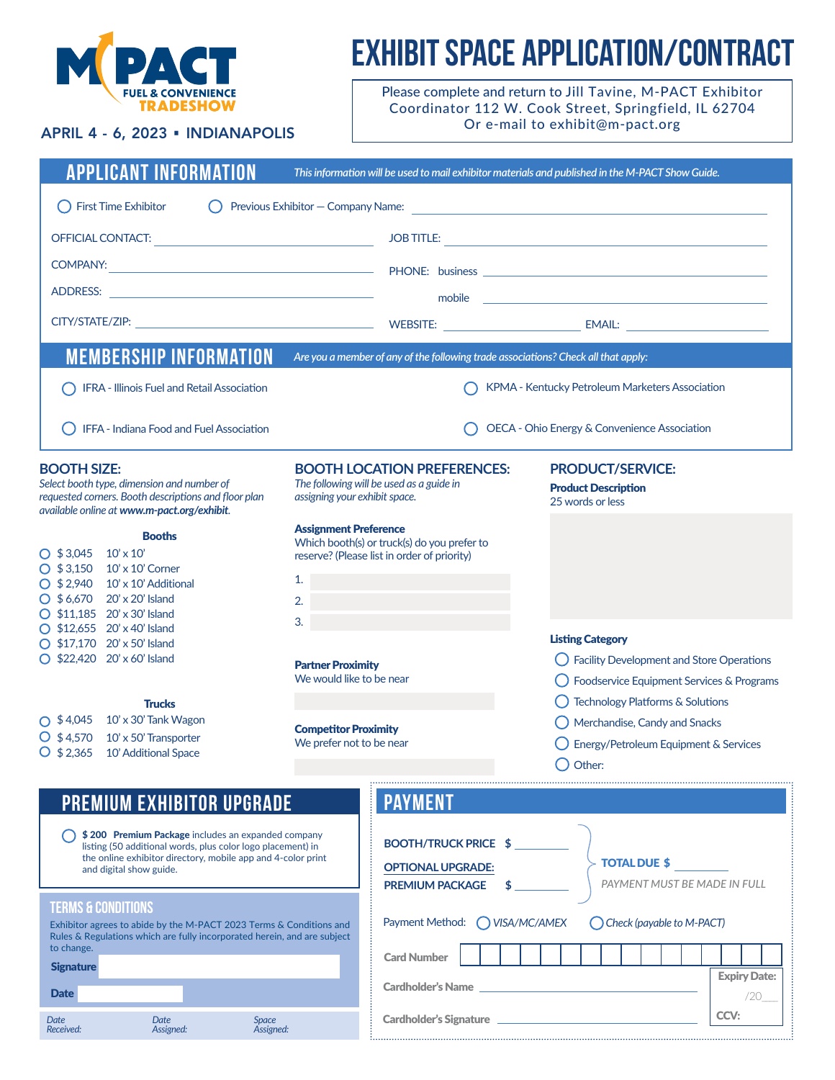

Date

*Date Received:*

# EXHIBIT SPACE APPLICATION/CONTRACT

Please complete and return to Jill Tavine, M-PACT Exhibitor Coordinator 112 W. Cook Street, Springfield, IL 62704 Or e-mail to exhibit@m-pact.org

# APRIL 4 - 6, 2023 • INDIANAPOLIS

| <b>APPLICANT INFORMATION</b>                                                                                                                                                                                                                                                                      |                                                            |                                                                                            | This information will be used to mail exhibitor materials and published in the M-PACT Show Guide.                              |
|---------------------------------------------------------------------------------------------------------------------------------------------------------------------------------------------------------------------------------------------------------------------------------------------------|------------------------------------------------------------|--------------------------------------------------------------------------------------------|--------------------------------------------------------------------------------------------------------------------------------|
| <b>First Time Exhibitor</b><br>Previous Exhibitor - Company Name:<br><u> 1980 - John Stein, mars and de Britain and de Britain and de Britain and de Britain and de Britain and de Br</u>                                                                                                         |                                                            |                                                                                            |                                                                                                                                |
| <b>OFFICIAL CONTACT:</b>                                                                                                                                                                                                                                                                          |                                                            | <b>JOB TITLE:</b>                                                                          | <u> 1989 - Andrea State Barbara, amerikan personal di sebagai personal di sebagai personal di sebagai personal d</u>           |
|                                                                                                                                                                                                                                                                                                   |                                                            |                                                                                            |                                                                                                                                |
| ADDRESS:<br>the control of the control of the control of the control of                                                                                                                                                                                                                           |                                                            | mobile                                                                                     | <u> 1980 - Andrea Andrew Maria (h. 1980).</u>                                                                                  |
|                                                                                                                                                                                                                                                                                                   |                                                            |                                                                                            |                                                                                                                                |
| <b>MEMBERSHIP INFORMATION</b>                                                                                                                                                                                                                                                                     |                                                            | Are you a member of any of the following trade associations? Check all that apply:         |                                                                                                                                |
| IFRA - Illinois Fuel and Retail Association                                                                                                                                                                                                                                                       | KPMA - Kentucky Petroleum Marketers Association            |                                                                                            |                                                                                                                                |
| IFFA - Indiana Food and Fuel Association                                                                                                                                                                                                                                                          |                                                            |                                                                                            | OECA - Ohio Energy & Convenience Association                                                                                   |
| <b>BOOTH SIZE:</b><br>Select booth type, dimension and number of<br>requested corners. Booth descriptions and floor plan<br>available online at www.m-pact.org/exhibit.                                                                                                                           | assigning your exhibit space.                              | <b>BOOTH LOCATION PREFERENCES:</b><br>The following will be used as a guide in             | <b>PRODUCT/SERVICE:</b><br><b>Product Description</b><br>25 words or less                                                      |
| <b>Booths</b><br>$O$ \$3,045<br>$10' \times 10'$<br>$O$ \$3,150<br>$10'$ x $10'$ Corner<br>$O$ \$2,940<br>10' x 10' Additional<br>$O$ \$6,670<br>20' x 20' Island<br>◯ \$11,185 20' x 30' Island<br>$O$ \$12,655 20' x 40' Island<br>$O$ \$17,170 20' x 50' Island<br>◯ \$22,420 20' x 60' Island | <b>Assignment Preference</b><br>1.<br>2.                   | Which booth(s) or truck(s) do you prefer to<br>reserve? (Please list in order of priority) |                                                                                                                                |
|                                                                                                                                                                                                                                                                                                   | 3.<br><b>Partner Proximity</b><br>We would like to be near |                                                                                            | <b>Listing Category</b><br><b>Facility Development and Store Operations</b><br>Foodservice Equipment Services & Programs       |
| <b>Trucks</b><br>10' x 30' Tank Wagon<br>$O$ \$4,045<br>$O$ \$4,570<br>10' x 50' Transporter<br>$O$ \$2,365<br>10' Additional Space                                                                                                                                                               | <b>Competitor Proximity</b><br>We prefer not to be near    |                                                                                            | Technology Platforms & Solutions<br>Merchandise, Candy and Snacks<br>Energy/Petroleum Equipment & Services<br>$\bigcap$ Other: |
| <b>PREMIUM EXHIBITOR UPGRADE</b>                                                                                                                                                                                                                                                                  |                                                            | <b>PAYMENT</b>                                                                             |                                                                                                                                |
| \$200 Premium Package includes an expanded company<br>listing (50 additional words, plus color logo placement) in<br>the online exhibitor directory, mobile app and 4-color print<br>and digital show guide.                                                                                      |                                                            | <b>BOOTH/TRUCK PRICE \$</b><br><b>OPTIONAL UPGRADE:</b><br><b>PREMIUM PACKAGE</b>          | <b>TOTAL DUE \$</b><br>PAYMENT MUST BE MADE IN FULL                                                                            |
| <b>TERMS &amp; CONDITIONS</b><br>Exhibitor agrees to abide by the M-PACT 2023 Terms & Conditions and<br>Rules & Regulations which are fully incorporated herein, and are subject                                                                                                                  |                                                            | ◯ VISA/MC/AMEX<br>Payment Method:                                                          | C Check (payable to M-PACT)                                                                                                    |
| to change.<br><b>Signature</b>                                                                                                                                                                                                                                                                    |                                                            | <b>Card Number</b>                                                                         | <b>Expiry Date:</b>                                                                                                            |

Cardholder's Name

*Space Assigned:*

*Date Assigned:*

Cardholder's Signature

/20\_\_\_\_

CCV: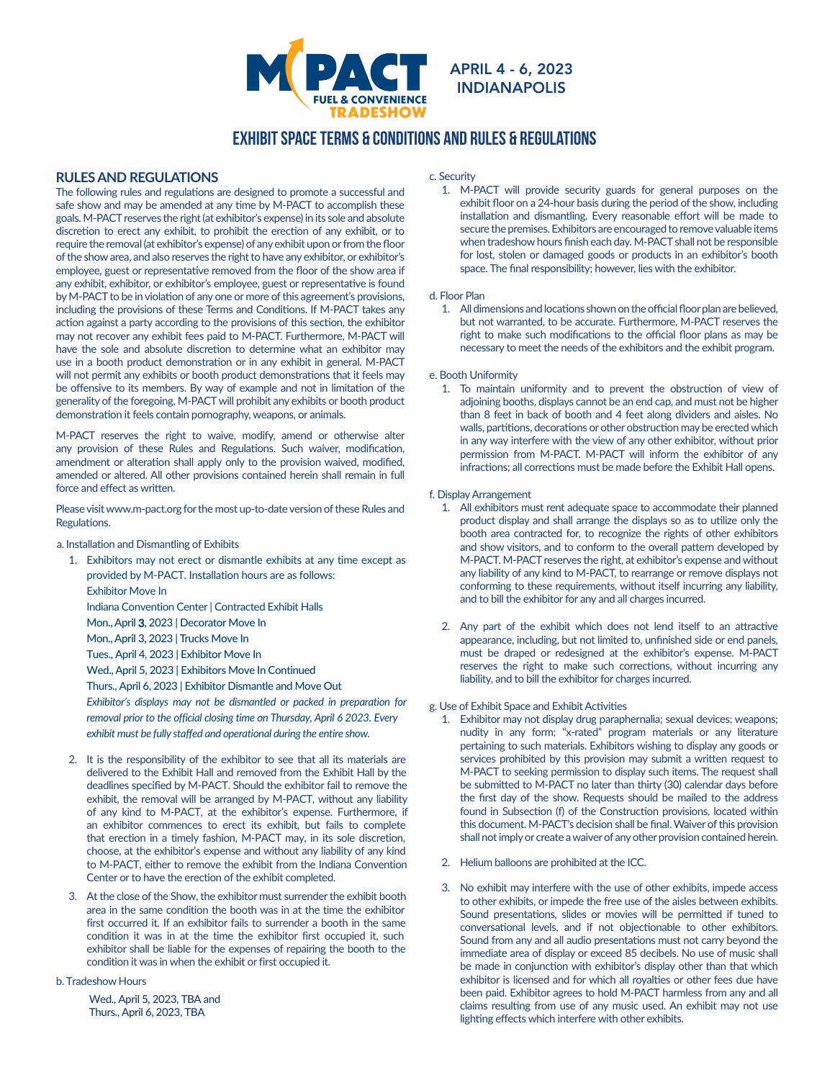

INDIANAPOLIS

# EXHIBIT SPACE terms & conditions and rules & regulations

# **RULES AND REGULATIONS**

The following rules and regulations are designed to promote a successful and safe show and may be amended at any time by M-PACT to accomplish these goals. M-PACT reserves the right (at exhibitor's expense) in its sole and absolute discretion to erect any exhibit, to prohibit the erection of any exhibit, or to require the removal (at exhibitor's expense) of any exhibit upon or from the floor of the show area, and also reserves the right to have any exhibitor, or exhibitor's employee, guest or representative removed from the floor of the show area if any exhibit, exhibitor, or exhibitor's employee, guest or representative is found by M-PACT to be in violation of any one or more of this agreement's provisions, including the provisions of these Terms and Conditions. If M-PACT takes any action against a party according to the provisions of this section, the exhibitor may not recover any exhibit fees paid to M-PACT. Furthermore, M-PACT will have the sole and absolute discretion to determine what an exhibitor may use in a booth product demonstration or in any exhibit in general. M-PACT will not permit any exhibits or booth product demonstrations that it feels may be offensive to its members. By way of example and not in limitation of the generality of the foregoing, M-PACT will prohibit any exhibits or booth product demonstration it feels contain pornography, weapons, or animals.

M-PACT reserves the right to waive, modify, amend or otherwise alter any provision of these Rules and Regulations. Such waiver, modification, amendment or alteration shall apply only to the provision waived, modified, amended or altered. All other provisions contained herein shall remain in full force and effect as written.

Please visit www.m-pact.org for the most up-to-date version of these Rules and Regulations.

a. Installation and Dismantling of Exhibits

- 1. Exhibitors may not erect or dismantle exhibits at any time except as provided by M-PACT. Installation hours are as follows: Exhibitor Move In Indiana Convention Center| Contracted Exhibit Halls Mon., April 3, 2023 | Decorator Move In Mon., April 3, 2023 | Trucks Move In
	- Tues., April 4, 2023 | Exhibitor Move In

Wed., April 5, 2023 | Exhibitors Move In Continued

Thurs., April 6, 2023 | Exhibitor Dismantle and Move Out *Exhibitor's displays may not be dismantled or packed in preparation for* 

*removal prior to the official closing time on Thursday, April 6 2023. Every exhibit must be fully staffed and operational during the entire show.*

- 2. It is the responsibility of the exhibitor to see that all its materials are delivered to the Exhibit Hall and removed from the Exhibit Hall by the deadlines specified by M-PACT. Should the exhibitor fail to remove the exhibit, the removal will be arranged by M-PACT, without any liability of any kind to M-PACT, at the exhibitor's expense. Furthermore, if an exhibitor commences to erect its exhibit, but fails to complete that erection in a timely fashion, M-PACT may, in its sole discretion, choose, at the exhibitor's expense and without any liability of any kind to M-PACT, either to remove the exhibit from the Indiana Convention Center or to have the erection of the exhibit completed.
- 3. At the close of the Show, the exhibitor must surrender the exhibit booth area in the same condition the booth was in at the time the exhibitor first occurred it. If an exhibitor fails to surrender a booth in the same condition it was in at the time the exhibitor first occupied it, such exhibitor shall be liable for the expenses of repairing the booth to the condition it was in when the exhibit or first occupied it.

b. Tradeshow Hours

Wed., April 5, 2023, TBA and Thurs., April 6, 2023, TBA

# c. Security

1. M-PACT will provide security guards for general purposes on the exhibit floor on a 24-hour basis during the period of the show, including installation and dismantling. Every reasonable effort will be made to secure the premises. Exhibitors are encouraged to remove valuable items when tradeshow hours finish each day. M-PACT shall not be responsible for lost, stolen or damaged goods or products in an exhibitor's booth space. The final responsibility; however, lies with the exhibitor.

# d. Floor Plan

1. All dimensions and locations shown on the official floor plan are believed, but not warranted, to be accurate. Furthermore, M-PACT reserves the right to make such modifications to the official floor plans as may be necessary to meet the needs of the exhibitors and the exhibit program.

#### e. Booth Uniformity

1. To maintain uniformity and to prevent the obstruction of view of adjoining booths, displays cannot be an end cap, and must not be higher than 8 feet in back of booth and 4 feet along dividers and aisles. No walls, partitions, decorations or other obstruction may be erected which in any way interfere with the view of any other exhibitor, without prior permission from M-PACT. M-PACT will inform the exhibitor of any infractions; all corrections must be made before the Exhibit Hall opens.

#### f. Display Arrangement

- 1. All exhibitors must rent adequate space to accommodate their planned product display and shall arrange the displays so as to utilize only the booth area contracted for, to recognize the rights of other exhibitors and show visitors, and to conform to the overall pattern developed by M-PACT. M-PACT reserves the right, at exhibitor's expense and without any liability of any kind to M-PACT, to rearrange or remove displays not conforming to these requirements, without itself incurring any liability, and to bill the exhibitor for any and all charges incurred.
- 2. Any part of the exhibit which does not lend itself to an attractive appearance, including, but not limited to, unfinished side or end panels, must be draped or redesigned at the exhibitor's expense. M-PACT reserves the right to make such corrections, without incurring any liability, and to bill the exhibitor for charges incurred.

#### g. Use of Exhibit Space and Exhibit Activities

- 1. Exhibitor may not display drug paraphernalia; sexual devices; weapons; nudity in any form; "x-rated" program materials or any literature pertaining to such materials. Exhibitors wishing to display any goods or services prohibited by this provision may submit a written request to M-PACT to seeking permission to display such items. The request shall be submitted to M-PACT no later than thirty (30) calendar days before the first day of the show. Requests should be mailed to the address found in Subsection (f) of the Construction provisions, located within this document. M-PACT's decision shall be final. Waiver of this provision shall not imply or create a waiver of any other provision contained herein.
- 2. Helium balloons are prohibited at the ICC.
- 3. No exhibit may interfere with the use of other exhibits, impede access to other exhibits, or impede the free use of the aisles between exhibits. Sound presentations, slides or movies will be permitted if tuned to conversational levels, and if not objectionable to other exhibitors. Sound from any and all audio presentations must not carry beyond the immediate area of display or exceed 85 decibels. No use of music shall be made in conjunction with exhibitor's display other than that which exhibitor is licensed and for which all royalties or other fees due have been paid. Exhibitor agrees to hold M-PACT harmless from any and all claims resulting from use of any music used. An exhibit may not use lighting effects which interfere with other exhibits.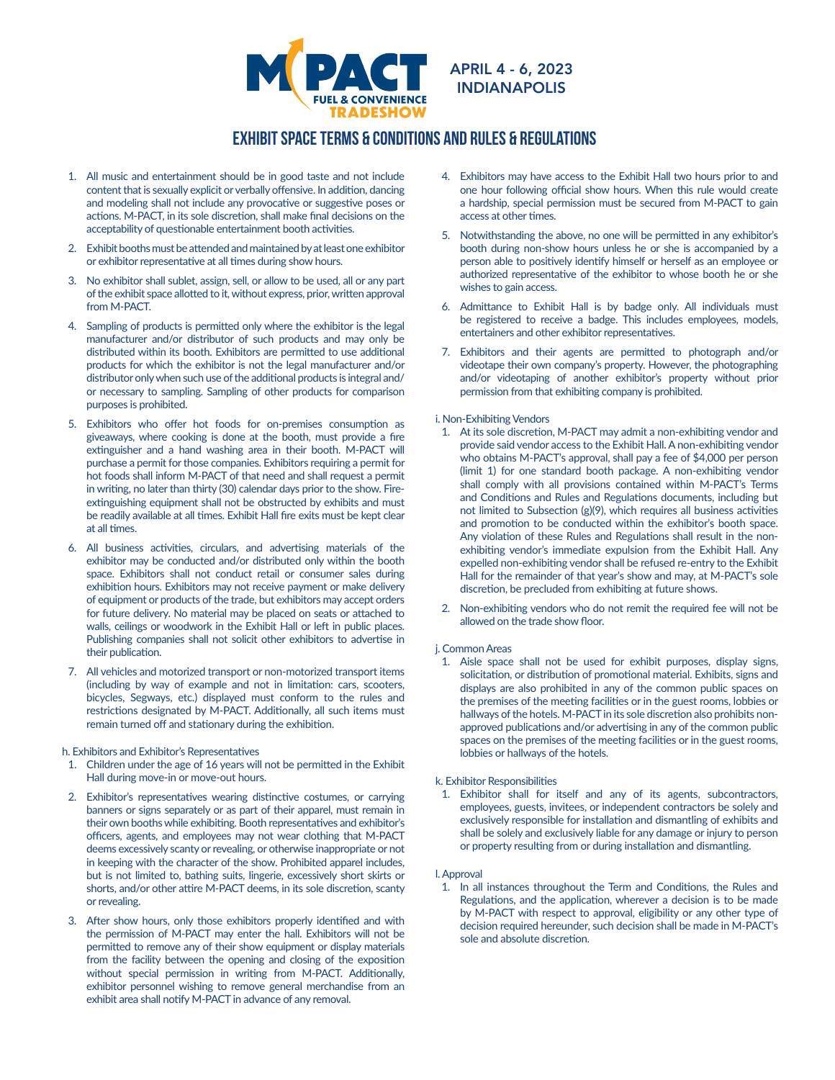

# EXHIBIT SPACE terms & conditions and rules & regulations

- 1. All music and entertainment should be in good taste and not include content that is sexually explicit or verbally offensive. In addition, dancing and modeling shall not include any provocative or suggestive poses or actions. M-PACT, in its sole discretion, shall make final decisions on the acceptability of questionable entertainment booth activities.
- 2. Exhibit booths must be attended and maintained by at least one exhibitor or exhibitor representative at all times during show hours.
- 3. No exhibitor shall sublet, assign, sell, or allow to be used, all or any part of the exhibit space allotted to it, without express, prior, written approval from M-PACT.
- 4. Sampling of products is permitted only where the exhibitor is the legal manufacturer and/or distributor of such products and may only be distributed within its booth. Exhibitors are permitted to use additional products for which the exhibitor is not the legal manufacturer and/or distributor only when such use of the additional products is integral and/ or necessary to sampling. Sampling of other products for comparison purposes is prohibited.
- 5. Exhibitors who offer hot foods for on-premises consumption as giveaways, where cooking is done at the booth, must provide a fire extinguisher and a hand washing area in their booth. M-PACT will purchase a permit for those companies. Exhibitors requiring a permit for hot foods shall inform M-PACT of that need and shall request a permit in writing, no later than thirty (30) calendar days prior to the show. Fireextinguishing equipment shall not be obstructed by exhibits and must be readily available at all times. Exhibit Hall fire exits must be kept clear at all times.
- 6. All business activities, circulars, and advertising materials of the exhibitor may be conducted and/or distributed only within the booth space. Exhibitors shall not conduct retail or consumer sales during exhibition hours. Exhibitors may not receive payment or make delivery of equipment or products of the trade, but exhibitors may accept orders for future delivery. No material may be placed on seats or attached to walls, ceilings or woodwork in the Exhibit Hall or left in public places. Publishing companies shall not solicit other exhibitors to advertise in their publication.
- 7. All vehicles and motorized transport or non-motorized transport items (including by way of example and not in limitation: cars, scooters, bicycles, Segways, etc.) displayed must conform to the rules and restrictions designated by M-PACT. Additionally, all such items must remain turned off and stationary during the exhibition.

#### h. Exhibitors and Exhibitor's Representatives

- 1. Children under the age of 16 years will not be permitted in the Exhibit Hall during move-in or move-out hours.
- 2. Exhibitor's representatives wearing distinctive costumes, or carrying banners or signs separately or as part of their apparel, must remain in their own booths while exhibiting. Booth representatives and exhibitor's officers, agents, and employees may not wear clothing that M-PACT deems excessively scanty or revealing, or otherwise inappropriate or not in keeping with the character of the show. Prohibited apparel includes, but is not limited to, bathing suits, lingerie, excessively short skirts or shorts, and/or other attire M-PACT deems, in its sole discretion, scanty or revealing.
- 3. After show hours, only those exhibitors properly identified and with the permission of M-PACT may enter the hall. Exhibitors will not be permitted to remove any of their show equipment or display materials from the facility between the opening and closing of the exposition without special permission in writing from M-PACT. Additionally, exhibitor personnel wishing to remove general merchandise from an exhibit area shall notify M-PACT in advance of any removal.
- 4. Exhibitors may have access to the Exhibit Hall two hours prior to and one hour following official show hours. When this rule would create a hardship, special permission must be secured from M-PACT to gain access at other times.
- 5. Notwithstanding the above, no one will be permitted in any exhibitor's booth during non-show hours unless he or she is accompanied by a person able to positively identify himself or herself as an employee or authorized representative of the exhibitor to whose booth he or she wishes to gain access.
- 6. Admittance to Exhibit Hall is by badge only. All individuals must be registered to receive a badge. This includes employees, models, entertainers and other exhibitor representatives.
- 7. Exhibitors and their agents are permitted to photograph and/or videotape their own company's property. However, the photographing and/or videotaping of another exhibitor's property without prior permission from that exhibiting company is prohibited.

# i. Non-Exhibiting Vendors

- 1. At its sole discretion, M-PACT may admit a non-exhibiting vendor and provide said vendor access to the Exhibit Hall. A non-exhibiting vendor who obtains M-PACT's approval, shall pay a fee of \$4,000 per person (limit 1) for one standard booth package. A non-exhibiting vendor shall comply with all provisions contained within M-PACT's Terms and Conditions and Rules and Regulations documents, including but not limited to Subsection (g)(9), which requires all business activities and promotion to be conducted within the exhibitor's booth space. Any violation of these Rules and Regulations shall result in the nonexhibiting vendor's immediate expulsion from the Exhibit Hall. Any expelled non-exhibiting vendor shall be refused re-entry to the Exhibit Hall for the remainder of that year's show and may, at M-PACT's sole discretion, be precluded from exhibiting at future shows.
- 2. Non-exhibiting vendors who do not remit the required fee will not be allowed on the trade show floor.

# j. Common Areas

1. Aisle space shall not be used for exhibit purposes, display signs, solicitation, or distribution of promotional material. Exhibits, signs and displays are also prohibited in any of the common public spaces on the premises of the meeting facilities or in the guest rooms, lobbies or hallways of the hotels. M-PACT in its sole discretion also prohibits nonapproved publications and/or advertising in any of the common public spaces on the premises of the meeting facilities or in the guest rooms, lobbies or hallways of the hotels.

# k. Exhibitor Responsibilities

1. Exhibitor shall for itself and any of its agents, subcontractors, employees, guests, invitees, or independent contractors be solely and exclusively responsible for installation and dismantling of exhibits and shall be solely and exclusively liable for any damage or injury to person or property resulting from or during installation and dismantling.

# l. Approval

1. In all instances throughout the Term and Conditions, the Rules and Regulations, and the application, wherever a decision is to be made by M-PACT with respect to approval, eligibility or any other type of decision required hereunder, such decision shall be made in M-PACT's sole and absolute discretion.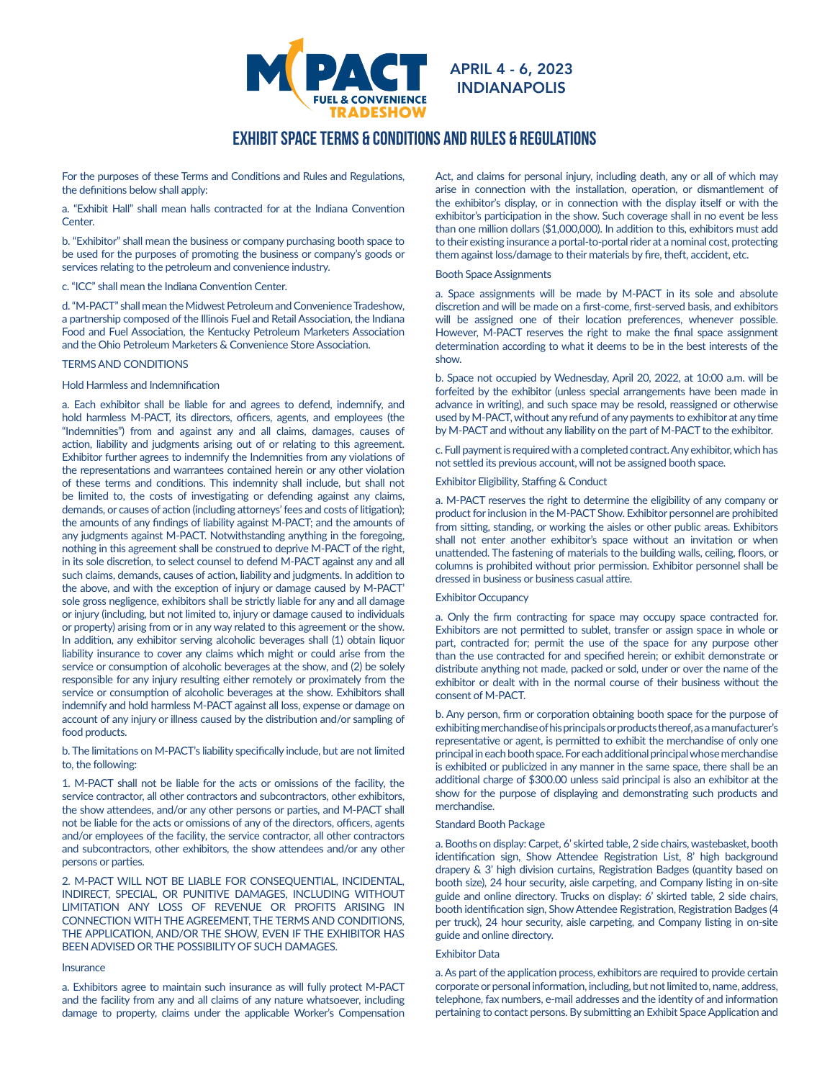

INDIANAPOLIS

# EXHIBIT SPACE terms & conditions and rules & regulations

For the purposes of these Terms and Conditions and Rules and Regulations, the definitions below shall apply:

a. "Exhibit Hall" shall mean halls contracted for at the Indiana Convention Center.

b. "Exhibitor" shall mean the business or company purchasing booth space to be used for the purposes of promoting the business or company's goods or services relating to the petroleum and convenience industry.

c. "ICC" shall mean the Indiana Convention Center.

d. "M-PACT" shall mean the Midwest Petroleum and Convenience Tradeshow, a partnership composed of the Illinois Fuel and Retail Association, the Indiana Food and Fuel Association, the Kentucky Petroleum Marketers Association and the Ohio Petroleum Marketers & Convenience Store Association.

# TERMS AND CONDITIONS

#### Hold Harmless and Indemnification

a. Each exhibitor shall be liable for and agrees to defend, indemnify, and hold harmless M-PACT, its directors, officers, agents, and employees (the "Indemnities") from and against any and all claims, damages, causes of action, liability and judgments arising out of or relating to this agreement. Exhibitor further agrees to indemnify the Indemnities from any violations of the representations and warrantees contained herein or any other violation of these terms and conditions. This indemnity shall include, but shall not be limited to, the costs of investigating or defending against any claims, demands, or causes of action (including attorneys' fees and costs of litigation); the amounts of any findings of liability against M-PACT; and the amounts of any judgments against M-PACT. Notwithstanding anything in the foregoing, nothing in this agreement shall be construed to deprive M-PACT of the right, in its sole discretion, to select counsel to defend M-PACT against any and all such claims, demands, causes of action, liability and judgments. In addition to the above, and with the exception of injury or damage caused by M-PACT' sole gross negligence, exhibitors shall be strictly liable for any and all damage or injury (including, but not limited to, injury or damage caused to individuals or property) arising from or in any way related to this agreement or the show. In addition, any exhibitor serving alcoholic beverages shall (1) obtain liquor liability insurance to cover any claims which might or could arise from the service or consumption of alcoholic beverages at the show, and (2) be solely responsible for any injury resulting either remotely or proximately from the service or consumption of alcoholic beverages at the show. Exhibitors shall indemnify and hold harmless M-PACT against all loss, expense or damage on account of any injury or illness caused by the distribution and/or sampling of food products.

b. The limitations on M-PACT's liability specifically include, but are not limited to, the following:

1. M-PACT shall not be liable for the acts or omissions of the facility, the service contractor, all other contractors and subcontractors, other exhibitors, the show attendees, and/or any other persons or parties, and M-PACT shall not be liable for the acts or omissions of any of the directors, officers, agents and/or employees of the facility, the service contractor, all other contractors and subcontractors, other exhibitors, the show attendees and/or any other persons or parties.

2. M-PACT WILL NOT BE LIABLE FOR CONSEQUENTIAL, INCIDENTAL, INDIRECT, SPECIAL, OR PUNITIVE DAMAGES, INCLUDING WITHOUT LIMITATION ANY LOSS OF REVENUE OR PROFITS ARISING IN CONNECTION WITH THE AGREEMENT, THE TERMS AND CONDITIONS, THE APPLICATION, AND/OR THE SHOW, EVEN IF THE EXHIBITOR HAS BEEN ADVISED OR THE POSSIBILITY OF SUCH DAMAGES.

#### **Insurance**

a. Exhibitors agree to maintain such insurance as will fully protect M-PACT and the facility from any and all claims of any nature whatsoever, including damage to property, claims under the applicable Worker's Compensation Act, and claims for personal injury, including death, any or all of which may arise in connection with the installation, operation, or dismantlement of the exhibitor's display, or in connection with the display itself or with the exhibitor's participation in the show. Such coverage shall in no event be less than one million dollars (\$1,000,000). In addition to this, exhibitors must add to their existing insurance a portal-to-portal rider at a nominal cost, protecting them against loss/damage to their materials by fire, theft, accident, etc.

#### Booth Space Assignments

a. Space assignments will be made by M-PACT in its sole and absolute discretion and will be made on a first-come, first-served basis, and exhibitors will be assigned one of their location preferences, whenever possible. However, M-PACT reserves the right to make the final space assignment determination according to what it deems to be in the best interests of the show.

b. Space not occupied by Wednesday, April 20, 2022, at 10:00 a.m. will be forfeited by the exhibitor (unless special arrangements have been made in advance in writing), and such space may be resold, reassigned or otherwise used by M-PACT, without any refund of any payments to exhibitor at any time by M-PACT and without any liability on the part of M-PACT to the exhibitor.

c. Full payment is required with a completed contract. Any exhibitor, which has not settled its previous account, will not be assigned booth space.

# Exhibitor Eligibility, Staffing & Conduct

a. M-PACT reserves the right to determine the eligibility of any company or product for inclusion in the M-PACT Show. Exhibitor personnel are prohibited from sitting, standing, or working the aisles or other public areas. Exhibitors shall not enter another exhibitor's space without an invitation or when unattended. The fastening of materials to the building walls, ceiling, floors, or columns is prohibited without prior permission. Exhibitor personnel shall be dressed in business or business casual attire.

# Exhibitor Occupancy

a. Only the firm contracting for space may occupy space contracted for. Exhibitors are not permitted to sublet, transfer or assign space in whole or part, contracted for; permit the use of the space for any purpose other than the use contracted for and specified herein; or exhibit demonstrate or distribute anything not made, packed or sold, under or over the name of the exhibitor or dealt with in the normal course of their business without the consent of M-PACT.

b. Any person, firm or corporation obtaining booth space for the purpose of exhibiting merchandise of his principals or products thereof, as a manufacturer's representative or agent, is permitted to exhibit the merchandise of only one principal in each booth space. For each additional principal whose merchandise is exhibited or publicized in any manner in the same space, there shall be an additional charge of \$300.00 unless said principal is also an exhibitor at the show for the purpose of displaying and demonstrating such products and merchandise.

#### Standard Booth Package

a. Booths on display: Carpet, 6' skirted table, 2 side chairs, wastebasket, booth identification sign, Show Attendee Registration List, 8' high background drapery & 3' high division curtains, Registration Badges (quantity based on booth size), 24 hour security, aisle carpeting, and Company listing in on-site guide and online directory. Trucks on display: 6' skirted table, 2 side chairs, booth identification sign, Show Attendee Registration, Registration Badges (4 per truck), 24 hour security, aisle carpeting, and Company listing in on-site guide and online directory.

#### Exhibitor Data

a. As part of the application process, exhibitors are required to provide certain corporate or personal information, including, but not limited to, name, address, telephone, fax numbers, e-mail addresses and the identity of and information pertaining to contact persons. By submitting an Exhibit Space Application and